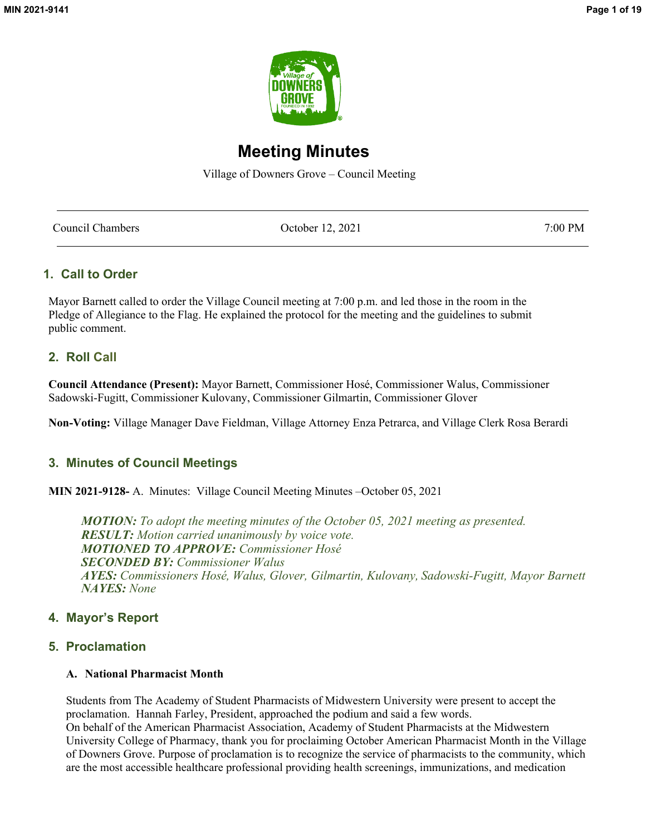

# **Meeting Minutes**

Village of Downers Grove – Council Meeting

| Council Chambers | October 12, 2021 | 7:00 PM |
|------------------|------------------|---------|
|                  |                  |         |

## **1. Call to Order**

Mayor Barnett called to order the Village Council meeting at 7:00 p.m. and led those in the room in the Pledge of Allegiance to the Flag. He explained the protocol for the meeting and the guidelines to submit public comment.

## **2. Roll Call**

**Council Attendance (Present):** Mayor Barnett, Commissioner Hosé, Commissioner Walus, Commissioner Sadowski-Fugitt, Commissioner Kulovany, Commissioner Gilmartin, Commissioner Glover

**Non-Voting:** Village Manager Dave Fieldman, Village Attorney Enza Petrarca, and Village Clerk Rosa Berardi

## **3. Minutes of Council Meetings**

**MIN 2021-9128-** A. Minutes: Village Council Meeting Minutes –October 05, 2021

*MOTION: To adopt the meeting minutes of the October 05, 2021 meeting as presented. RESULT: Motion carried unanimously by voice vote. MOTIONED TO APPROVE: Commissioner Hosé SECONDED BY: Commissioner Walus AYES: Commissioners Hosé, Walus, Glover, Gilmartin, Kulovany, Sadowski-Fugitt, Mayor Barnett NAYES: None*

## **4. Mayor's Report**

## **5. Proclamation**

### **A. National Pharmacist Month**

Students from The Academy of Student Pharmacists of Midwestern University were present to accept the proclamation. Hannah Farley, President, approached the podium and said a few words. On behalf of the American Pharmacist Association, Academy of Student Pharmacists at the Midwestern University College of Pharmacy, thank you for proclaiming October American Pharmacist Month in the Village of Downers Grove. Purpose of proclamation is to recognize the service of pharmacists to the community, which are the most accessible healthcare professional providing health screenings, immunizations, and medication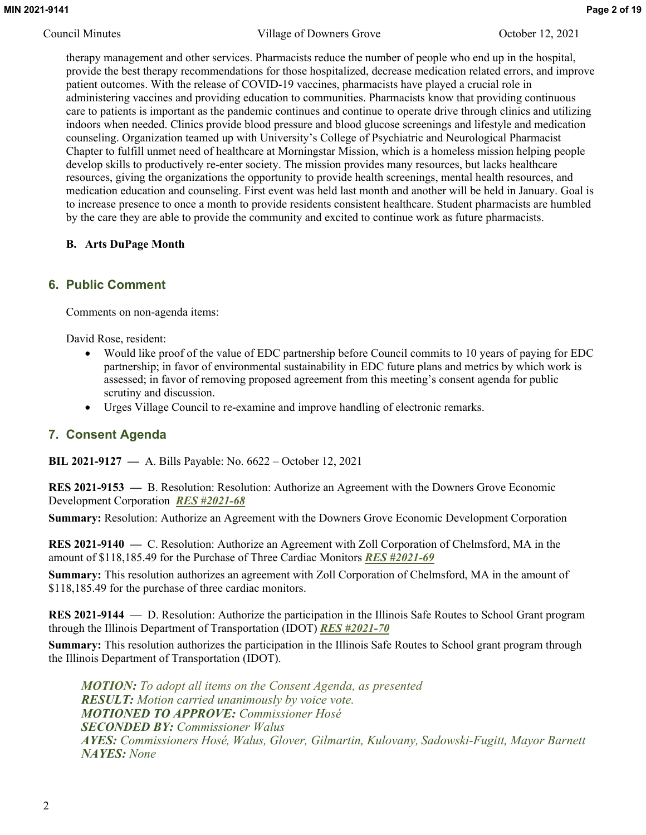therapy management and other services. Pharmacists reduce the number of people who end up in the hospital, provide the best therapy recommendations for those hospitalized, decrease medication related errors, and improve patient outcomes. With the release of COVID-19 vaccines, pharmacists have played a crucial role in administering vaccines and providing education to communities. Pharmacists know that providing continuous care to patients is important as the pandemic continues and continue to operate drive through clinics and utilizing indoors when needed. Clinics provide blood pressure and blood glucose screenings and lifestyle and medication counseling. Organization teamed up with University's College of Psychiatric and Neurological Pharmacist Chapter to fulfill unmet need of healthcare at Morningstar Mission, which is a homeless mission helping people develop skills to productively re-enter society. The mission provides many resources, but lacks healthcare resources, giving the organizations the opportunity to provide health screenings, mental health resources, and medication education and counseling. First event was held last month and another will be held in January. Goal is to increase presence to once a month to provide residents consistent healthcare. Student pharmacists are humbled by the care they are able to provide the community and excited to continue work as future pharmacists.

## **B. Arts DuPage Month**

## **6. Public Comment**

Comments on non-agenda items:

David Rose, resident:

- Would like proof of the value of EDC partnership before Council commits to 10 years of paying for EDC partnership; in favor of environmental sustainability in EDC future plans and metrics by which work is assessed; in favor of removing proposed agreement from this meeting's consent agenda for public scrutiny and discussion.
- Urges Village Council to re-examine and improve handling of electronic remarks.

## **7. Consent Agenda**

**BIL 2021-9127 —** A. Bills Payable: No. 6622 – October 12, 2021

**RES 2021-9153 —** B. Resolution: Resolution: Authorize an Agreement with the Downers Grove Economic Development Corporation *RES #2021-68*

**Summary:** Resolution: Authorize an Agreement with the Downers Grove Economic Development Corporation

**RES 2021-9140 —** C. Resolution: Authorize an Agreement with Zoll Corporation of Chelmsford, MA in the amount of \$118,185.49 for the Purchase of Three Cardiac Monitors *RES #2021-69*

**Summary:** This resolution authorizes an agreement with Zoll Corporation of Chelmsford, MA in the amount of \$118,185.49 for the purchase of three cardiac monitors.

**RES 2021-9144 —** D. Resolution: Authorize the participation in the Illinois Safe Routes to School Grant program through the Illinois Department of Transportation (IDOT) *RES #2021-70*

**Summary:** This resolution authorizes the participation in the Illinois Safe Routes to School grant program through the Illinois Department of Transportation (IDOT).

*MOTION: To adopt all items on the Consent Agenda, as presented RESULT: Motion carried unanimously by voice vote. MOTIONED TO APPROVE: Commissioner Hosé SECONDED BY: Commissioner Walus AYES: Commissioners Hosé, Walus, Glover, Gilmartin, Kulovany, Sadowski-Fugitt, Mayor Barnett NAYES: None*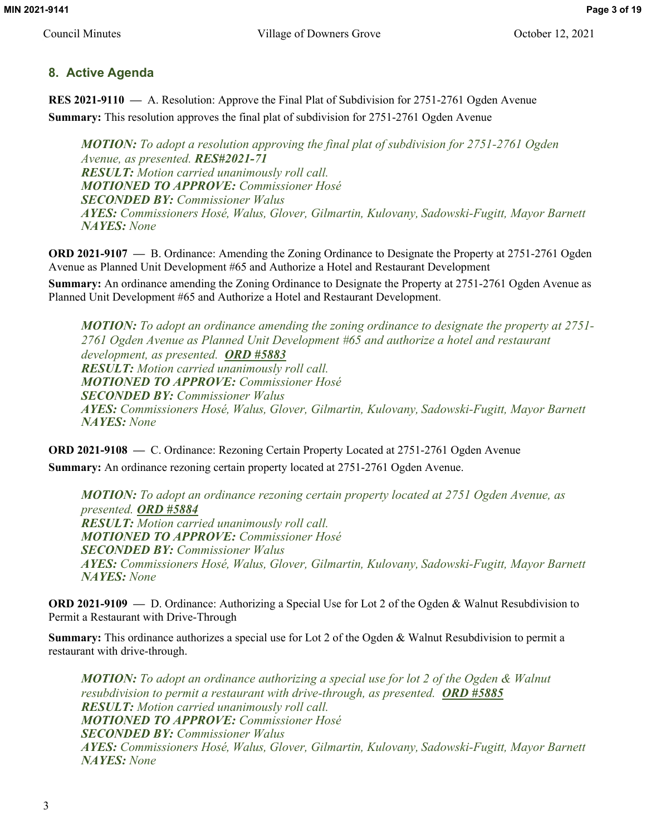## **8. Active Agenda**

**RES 2021-9110 —** A. Resolution: Approve the Final Plat of Subdivision for 2751-2761 Ogden Avenue **Summary:** This resolution approves the final plat of subdivision for 2751-2761 Ogden Avenue

*MOTION: To adopt a resolution approving the final plat of subdivision for 2751-2761 Ogden Avenue, as presented. RES#2021-71 RESULT: Motion carried unanimously roll call. MOTIONED TO APPROVE: Commissioner Hosé SECONDED BY: Commissioner Walus AYES: Commissioners Hosé, Walus, Glover, Gilmartin, Kulovany, Sadowski-Fugitt, Mayor Barnett NAYES: None*

**ORD 2021-9107 —** B. Ordinance: Amending the Zoning Ordinance to Designate the Property at 2751-2761 Ogden Avenue as Planned Unit Development #65 and Authorize a Hotel and Restaurant Development

**Summary:** An ordinance amending the Zoning Ordinance to Designate the Property at 2751-2761 Ogden Avenue as Planned Unit Development #65 and Authorize a Hotel and Restaurant Development.

*MOTION: To adopt an ordinance amending the zoning ordinance to designate the property at 2751- 2761 Ogden Avenue as Planned Unit Development #65 and authorize a hotel and restaurant development, as presented. ORD #5883 RESULT: Motion carried unanimously roll call. MOTIONED TO APPROVE: Commissioner Hosé SECONDED BY: Commissioner Walus AYES: Commissioners Hosé, Walus, Glover, Gilmartin, Kulovany, Sadowski-Fugitt, Mayor Barnett NAYES: None*

**ORD 2021-9108 —** C. Ordinance: Rezoning Certain Property Located at 2751-2761 Ogden Avenue

**Summary:** An ordinance rezoning certain property located at 2751-2761 Ogden Avenue.

*MOTION: To adopt an ordinance rezoning certain property located at 2751 Ogden Avenue, as presented. ORD #5884 RESULT: Motion carried unanimously roll call. MOTIONED TO APPROVE: Commissioner Hosé SECONDED BY: Commissioner Walus AYES: Commissioners Hosé, Walus, Glover, Gilmartin, Kulovany, Sadowski-Fugitt, Mayor Barnett NAYES: None*

**ORD 2021-9109 —** D. Ordinance: Authorizing a Special Use for Lot 2 of the Ogden & Walnut Resubdivision to Permit a Restaurant with Drive-Through

**Summary:** This ordinance authorizes a special use for Lot 2 of the Ogden & Walnut Resubdivision to permit a restaurant with drive-through.

*MOTION: To adopt an ordinance authorizing a special use for lot 2 of the Ogden & Walnut resubdivision to permit a restaurant with drive-through, as presented. ORD #5885 RESULT: Motion carried unanimously roll call. MOTIONED TO APPROVE: Commissioner Hosé SECONDED BY: Commissioner Walus AYES: Commissioners Hosé, Walus, Glover, Gilmartin, Kulovany, Sadowski-Fugitt, Mayor Barnett NAYES: None*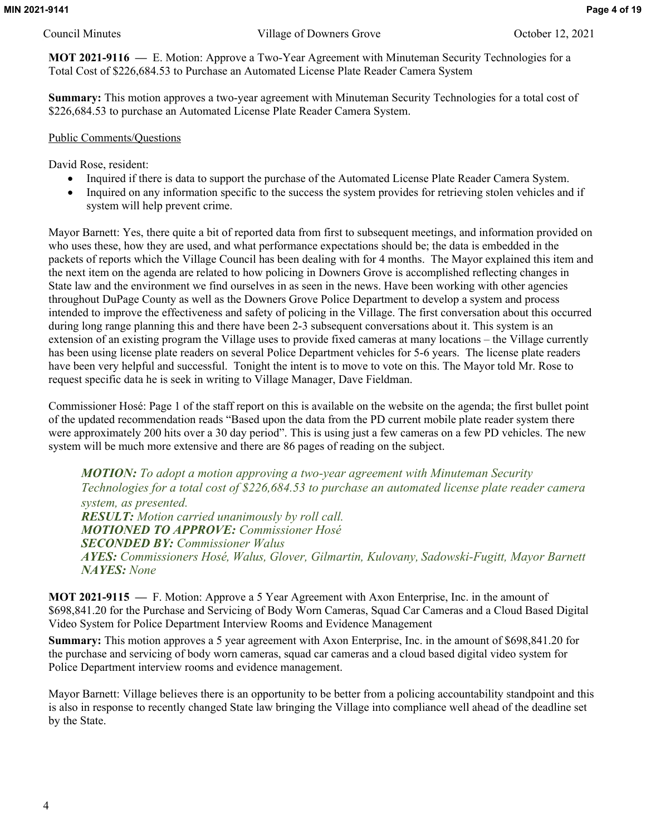**MOT 2021-9116 —** E. Motion: Approve a Two-Year Agreement with Minuteman Security Technologies for a Total Cost of \$226,684.53 to Purchase an Automated License Plate Reader Camera System

**Summary:** This motion approves a two-year agreement with Minuteman Security Technologies for a total cost of \$226,684.53 to purchase an Automated License Plate Reader Camera System.

### Public Comments/Questions

David Rose, resident:

- Inquired if there is data to support the purchase of the Automated License Plate Reader Camera System.
- Inquired on any information specific to the success the system provides for retrieving stolen vehicles and if system will help prevent crime.

Mayor Barnett: Yes, there quite a bit of reported data from first to subsequent meetings, and information provided on who uses these, how they are used, and what performance expectations should be; the data is embedded in the packets of reports which the Village Council has been dealing with for 4 months. The Mayor explained this item and the next item on the agenda are related to how policing in Downers Grove is accomplished reflecting changes in State law and the environment we find ourselves in as seen in the news. Have been working with other agencies throughout DuPage County as well as the Downers Grove Police Department to develop a system and process intended to improve the effectiveness and safety of policing in the Village. The first conversation about this occurred during long range planning this and there have been 2-3 subsequent conversations about it. This system is an extension of an existing program the Village uses to provide fixed cameras at many locations – the Village currently has been using license plate readers on several Police Department vehicles for 5-6 years. The license plate readers have been very helpful and successful. Tonight the intent is to move to vote on this. The Mayor told Mr. Rose to request specific data he is seek in writing to Village Manager, Dave Fieldman.

Commissioner Hosé: Page 1 of the staff report on this is available on the website on the agenda; the first bullet point of the updated recommendation reads "Based upon the data from the PD current mobile plate reader system there were approximately 200 hits over a 30 day period". This is using just a few cameras on a few PD vehicles. The new system will be much more extensive and there are 86 pages of reading on the subject.

*MOTION: To adopt a motion approving a two-year agreement with Minuteman Security Technologies for a total cost of \$226,684.53 to purchase an automated license plate reader camera system, as presented. RESULT: Motion carried unanimously by roll call. MOTIONED TO APPROVE: Commissioner Hosé SECONDED BY: Commissioner Walus AYES: Commissioners Hosé, Walus, Glover, Gilmartin, Kulovany, Sadowski-Fugitt, Mayor Barnett NAYES: None*

**MOT 2021-9115 —** F. Motion: Approve a 5 Year Agreement with Axon Enterprise, Inc. in the amount of \$698,841.20 for the Purchase and Servicing of Body Worn Cameras, Squad Car Cameras and a Cloud Based Digital Video System for Police Department Interview Rooms and Evidence Management

**Summary:** This motion approves a 5 year agreement with Axon Enterprise, Inc. in the amount of \$698,841.20 for the purchase and servicing of body worn cameras, squad car cameras and a cloud based digital video system for Police Department interview rooms and evidence management.

Mayor Barnett: Village believes there is an opportunity to be better from a policing accountability standpoint and this is also in response to recently changed State law bringing the Village into compliance well ahead of the deadline set by the State.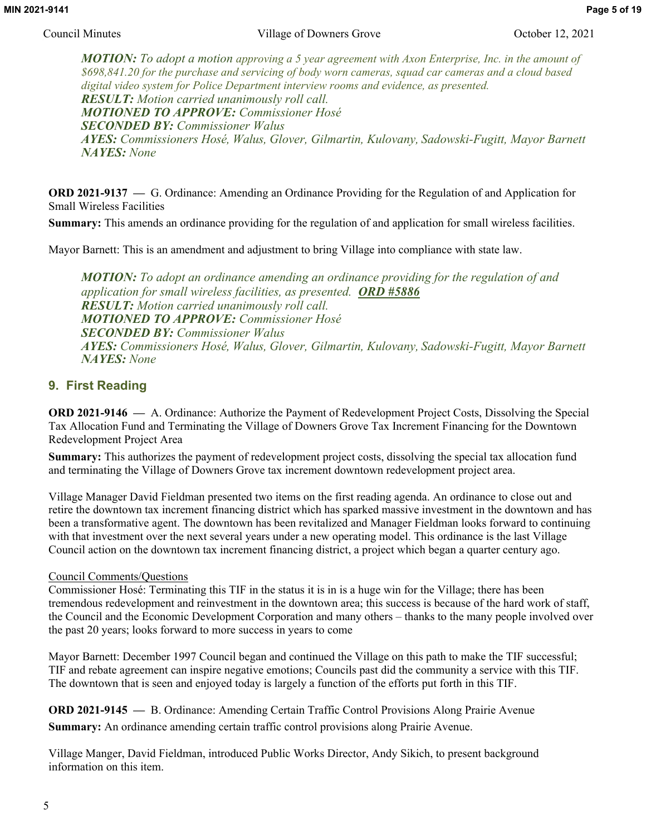*MOTION: To adopt a motion approving a 5 year agreement with Axon Enterprise, Inc. in the amount of \$698,841.20 for the purchase and servicing of body worn cameras, squad car cameras and a cloud based digital video system for Police Department interview rooms and evidence, as presented. RESULT: Motion carried unanimously roll call. MOTIONED TO APPROVE: Commissioner Hosé SECONDED BY: Commissioner Walus AYES: Commissioners Hosé, Walus, Glover, Gilmartin, Kulovany, Sadowski-Fugitt, Mayor Barnett NAYES: None*

**ORD 2021-9137 —** G. Ordinance: Amending an Ordinance Providing for the Regulation of and Application for Small Wireless Facilities

**Summary:** This amends an ordinance providing for the regulation of and application for small wireless facilities.

Mayor Barnett: This is an amendment and adjustment to bring Village into compliance with state law.

*MOTION: To adopt an ordinance amending an ordinance providing for the regulation of and application for small wireless facilities, as presented. ORD #5886 RESULT: Motion carried unanimously roll call. MOTIONED TO APPROVE: Commissioner Hosé SECONDED BY: Commissioner Walus AYES: Commissioners Hosé, Walus, Glover, Gilmartin, Kulovany, Sadowski-Fugitt, Mayor Barnett NAYES: None*

## **9. First Reading**

**ORD 2021-9146 —** A. Ordinance: Authorize the Payment of Redevelopment Project Costs, Dissolving the Special Tax Allocation Fund and Terminating the Village of Downers Grove Tax Increment Financing for the Downtown Redevelopment Project Area

**Summary:** This authorizes the payment of redevelopment project costs, dissolving the special tax allocation fund and terminating the Village of Downers Grove tax increment downtown redevelopment project area.

Village Manager David Fieldman presented two items on the first reading agenda. An ordinance to close out and retire the downtown tax increment financing district which has sparked massive investment in the downtown and has been a transformative agent. The downtown has been revitalized and Manager Fieldman looks forward to continuing with that investment over the next several years under a new operating model. This ordinance is the last Village Council action on the downtown tax increment financing district, a project which began a quarter century ago.

## Council Comments/Questions

Commissioner Hosé: Terminating this TIF in the status it is in is a huge win for the Village; there has been tremendous redevelopment and reinvestment in the downtown area; this success is because of the hard work of staff, the Council and the Economic Development Corporation and many others – thanks to the many people involved over the past 20 years; looks forward to more success in years to come

Mayor Barnett: December 1997 Council began and continued the Village on this path to make the TIF successful; TIF and rebate agreement can inspire negative emotions; Councils past did the community a service with this TIF. The downtown that is seen and enjoyed today is largely a function of the efforts put forth in this TIF.

**ORD 2021-9145 —** B. Ordinance: Amending Certain Traffic Control Provisions Along Prairie Avenue **Summary:** An ordinance amending certain traffic control provisions along Prairie Avenue.

Village Manger, David Fieldman, introduced Public Works Director, Andy Sikich, to present background information on this item.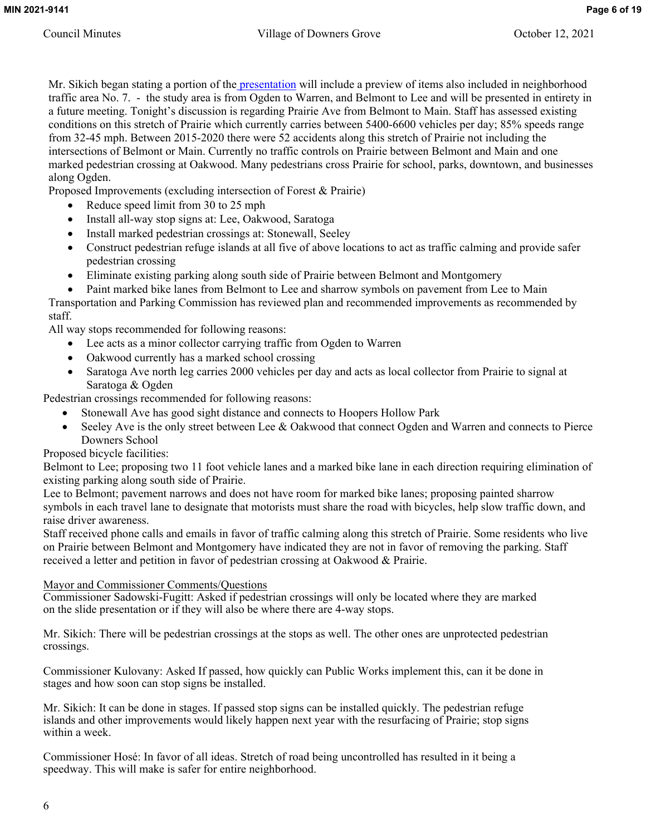Mr. Sikich began stating a portion of th[e presentation](http://www.downers.us/public/docs/agendas/2021/10-12-21/2021%2010%2012%20Prairie%20Avenue%20Council%20Presentation%20FINAL.pdf) will include a preview of items also included in neighborhood traffic area No. 7. - the study area is from Ogden to Warren, and Belmont to Lee and will be presented in entirety in a future meeting. Tonight's discussion is regarding Prairie Ave from Belmont to Main. Staff has assessed existing conditions on this stretch of Prairie which currently carries between 5400-6600 vehicles per day; 85% speeds range from 32-45 mph. Between 2015-2020 there were 52 accidents along this stretch of Prairie not including the intersections of Belmont or Main. Currently no traffic controls on Prairie between Belmont and Main and one marked pedestrian crossing at Oakwood. Many pedestrians cross Prairie for school, parks, downtown, and businesses along Ogden.

Proposed Improvements (excluding intersection of Forest & Prairie)

- Reduce speed limit from 30 to 25 mph
- Install all-way stop signs at: Lee, Oakwood, Saratoga
- Install marked pedestrian crossings at: Stonewall, Seeley
- Construct pedestrian refuge islands at all five of above locations to act as traffic calming and provide safer pedestrian crossing
- Eliminate existing parking along south side of Prairie between Belmont and Montgomery
- Paint marked bike lanes from Belmont to Lee and sharrow symbols on pavement from Lee to Main Transportation and Parking Commission has reviewed plan and recommended improvements as recommended by staff.

All way stops recommended for following reasons:

- Lee acts as a minor collector carrying traffic from Ogden to Warren
- Oakwood currently has a marked school crossing
- Saratoga Ave north leg carries 2000 vehicles per day and acts as local collector from Prairie to signal at Saratoga & Ogden

Pedestrian crossings recommended for following reasons:

- Stonewall Ave has good sight distance and connects to Hoopers Hollow Park
- Seeley Ave is the only street between Lee & Oakwood that connect Ogden and Warren and connects to Pierce Downers School

Proposed bicycle facilities:

Belmont to Lee; proposing two 11 foot vehicle lanes and a marked bike lane in each direction requiring elimination of existing parking along south side of Prairie.

Lee to Belmont; pavement narrows and does not have room for marked bike lanes; proposing painted sharrow symbols in each travel lane to designate that motorists must share the road with bicycles, help slow traffic down, and raise driver awareness.

Staff received phone calls and emails in favor of traffic calming along this stretch of Prairie. Some residents who live on Prairie between Belmont and Montgomery have indicated they are not in favor of removing the parking. Staff received a letter and petition in favor of pedestrian crossing at Oakwood & Prairie.

## Mayor and Commissioner Comments/Questions

Commissioner Sadowski-Fugitt: Asked if pedestrian crossings will only be located where they are marked on the slide presentation or if they will also be where there are 4-way stops.

Mr. Sikich: There will be pedestrian crossings at the stops as well. The other ones are unprotected pedestrian crossings.

Commissioner Kulovany: Asked If passed, how quickly can Public Works implement this, can it be done in stages and how soon can stop signs be installed.

Mr. Sikich: It can be done in stages. If passed stop signs can be installed quickly. The pedestrian refuge islands and other improvements would likely happen next year with the resurfacing of Prairie; stop signs within a week.

Commissioner Hosé: In favor of all ideas. Stretch of road being uncontrolled has resulted in it being a speedway. This will make is safer for entire neighborhood.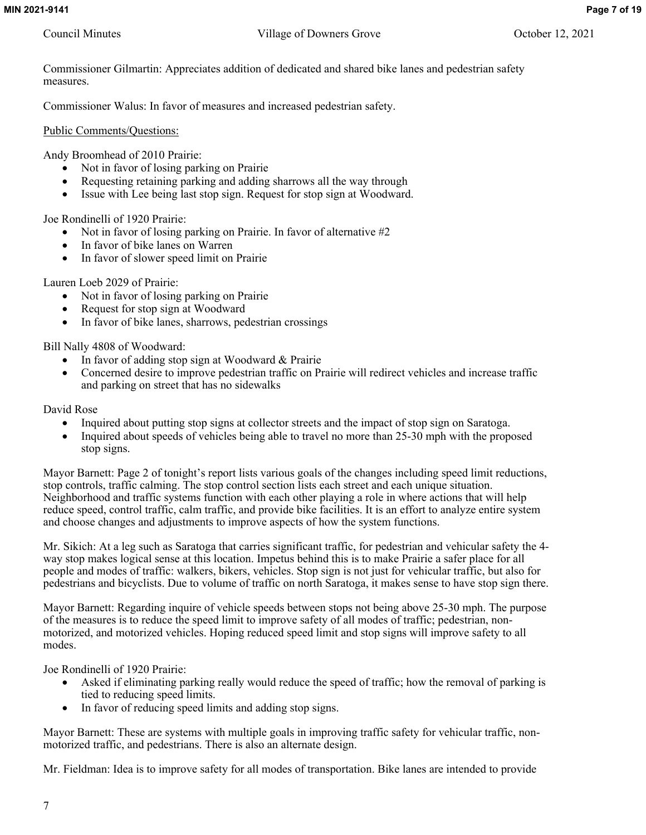Commissioner Gilmartin: Appreciates addition of dedicated and shared bike lanes and pedestrian safety measures.

Commissioner Walus: In favor of measures and increased pedestrian safety.

Public Comments/Questions:

Andy Broomhead of 2010 Prairie:

- Not in favor of losing parking on Prairie
- Requesting retaining parking and adding sharrows all the way through
- Issue with Lee being last stop sign. Request for stop sign at Woodward.

Joe Rondinelli of 1920 Prairie:

- $\bullet$  Not in favor of losing parking on Prairie. In favor of alternative #2
- In favor of bike lanes on Warren
- In favor of slower speed limit on Prairie

Lauren Loeb 2029 of Prairie:

- Not in favor of losing parking on Prairie
- Request for stop sign at Woodward
- In favor of bike lanes, sharrows, pedestrian crossings

Bill Nally 4808 of Woodward:

- In favor of adding stop sign at Woodward & Prairie
- Concerned desire to improve pedestrian traffic on Prairie will redirect vehicles and increase traffic and parking on street that has no sidewalks

David Rose

- Inquired about putting stop signs at collector streets and the impact of stop sign on Saratoga.
- Inquired about speeds of vehicles being able to travel no more than 25-30 mph with the proposed stop signs.

Mayor Barnett: Page 2 of tonight's report lists various goals of the changes including speed limit reductions, stop controls, traffic calming. The stop control section lists each street and each unique situation. Neighborhood and traffic systems function with each other playing a role in where actions that will help reduce speed, control traffic, calm traffic, and provide bike facilities. It is an effort to analyze entire system and choose changes and adjustments to improve aspects of how the system functions.

Mr. Sikich: At a leg such as Saratoga that carries significant traffic, for pedestrian and vehicular safety the 4 way stop makes logical sense at this location. Impetus behind this is to make Prairie a safer place for all people and modes of traffic: walkers, bikers, vehicles. Stop sign is not just for vehicular traffic, but also for pedestrians and bicyclists. Due to volume of traffic on north Saratoga, it makes sense to have stop sign there.

Mayor Barnett: Regarding inquire of vehicle speeds between stops not being above 25-30 mph. The purpose of the measures is to reduce the speed limit to improve safety of all modes of traffic; pedestrian, nonmotorized, and motorized vehicles. Hoping reduced speed limit and stop signs will improve safety to all modes.

Joe Rondinelli of 1920 Prairie:

- Asked if eliminating parking really would reduce the speed of traffic; how the removal of parking is tied to reducing speed limits.
- In favor of reducing speed limits and adding stop signs.

Mayor Barnett: These are systems with multiple goals in improving traffic safety for vehicular traffic, nonmotorized traffic, and pedestrians. There is also an alternate design.

Mr. Fieldman: Idea is to improve safety for all modes of transportation. Bike lanes are intended to provide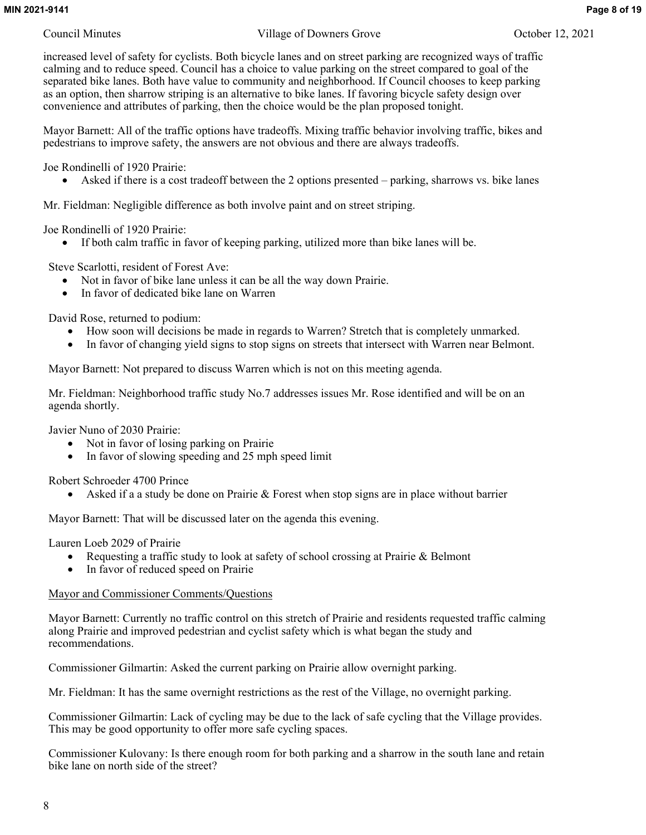increased level of safety for cyclists. Both bicycle lanes and on street parking are recognized ways of traffic calming and to reduce speed. Council has a choice to value parking on the street compared to goal of the separated bike lanes. Both have value to community and neighborhood. If Council chooses to keep parking as an option, then sharrow striping is an alternative to bike lanes. If favoring bicycle safety design over convenience and attributes of parking, then the choice would be the plan proposed tonight.

Mayor Barnett: All of the traffic options have tradeoffs. Mixing traffic behavior involving traffic, bikes and pedestrians to improve safety, the answers are not obvious and there are always tradeoffs.

Joe Rondinelli of 1920 Prairie:

Asked if there is a cost tradeoff between the 2 options presented – parking, sharrows vs. bike lanes

Mr. Fieldman: Negligible difference as both involve paint and on street striping.

Joe Rondinelli of 1920 Prairie:

If both calm traffic in favor of keeping parking, utilized more than bike lanes will be.

Steve Scarlotti, resident of Forest Ave:

- Not in favor of bike lane unless it can be all the way down Prairie.
- In favor of dedicated bike lane on Warren

David Rose, returned to podium:

- How soon will decisions be made in regards to Warren? Stretch that is completely unmarked.
- In favor of changing yield signs to stop signs on streets that intersect with Warren near Belmont.

Mayor Barnett: Not prepared to discuss Warren which is not on this meeting agenda.

Mr. Fieldman: Neighborhood traffic study No.7 addresses issues Mr. Rose identified and will be on an agenda shortly.

Javier Nuno of 2030 Prairie:

- Not in favor of losing parking on Prairie
- In favor of slowing speeding and 25 mph speed limit

Robert Schroeder 4700 Prince

Asked if a a study be done on Prairie & Forest when stop signs are in place without barrier

Mayor Barnett: That will be discussed later on the agenda this evening.

Lauren Loeb 2029 of Prairie

- Requesting a traffic study to look at safety of school crossing at Prairie & Belmont
- In favor of reduced speed on Prairie

## Mayor and Commissioner Comments/Questions

Mayor Barnett: Currently no traffic control on this stretch of Prairie and residents requested traffic calming along Prairie and improved pedestrian and cyclist safety which is what began the study and recommendations.

Commissioner Gilmartin: Asked the current parking on Prairie allow overnight parking.

Mr. Fieldman: It has the same overnight restrictions as the rest of the Village, no overnight parking.

Commissioner Gilmartin: Lack of cycling may be due to the lack of safe cycling that the Village provides. This may be good opportunity to offer more safe cycling spaces.

Commissioner Kulovany: Is there enough room for both parking and a sharrow in the south lane and retain bike lane on north side of the street?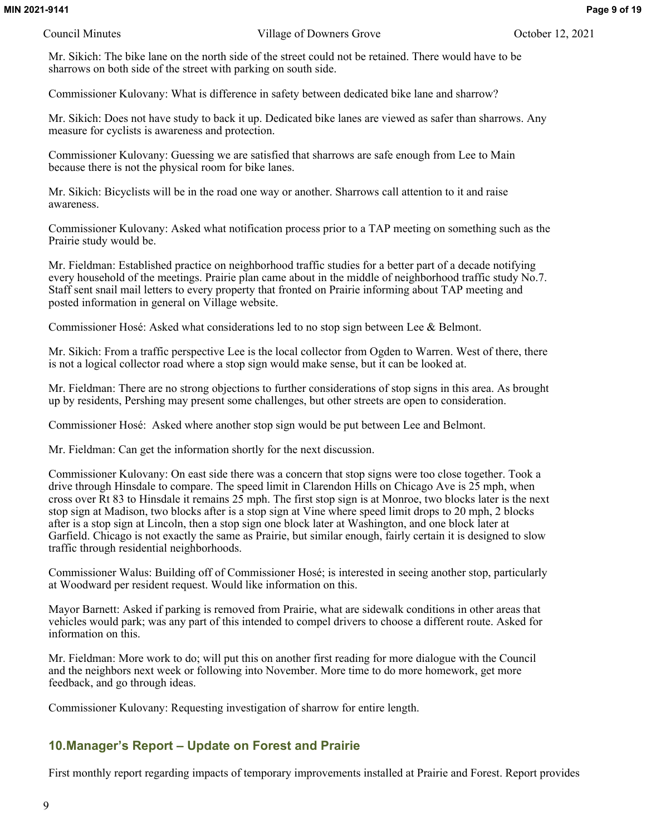Mr. Sikich: The bike lane on the north side of the street could not be retained. There would have to be sharrows on both side of the street with parking on south side.

Commissioner Kulovany: What is difference in safety between dedicated bike lane and sharrow?

Mr. Sikich: Does not have study to back it up. Dedicated bike lanes are viewed as safer than sharrows. Any measure for cyclists is awareness and protection.

Commissioner Kulovany: Guessing we are satisfied that sharrows are safe enough from Lee to Main because there is not the physical room for bike lanes.

Mr. Sikich: Bicyclists will be in the road one way or another. Sharrows call attention to it and raise awareness.

Commissioner Kulovany: Asked what notification process prior to a TAP meeting on something such as the Prairie study would be.

Mr. Fieldman: Established practice on neighborhood traffic studies for a better part of a decade notifying every household of the meetings. Prairie plan came about in the middle of neighborhood traffic study No.7. Staff sent snail mail letters to every property that fronted on Prairie informing about TAP meeting and posted information in general on Village website.

Commissioner Hosé: Asked what considerations led to no stop sign between Lee & Belmont.

Mr. Sikich: From a traffic perspective Lee is the local collector from Ogden to Warren. West of there, there is not a logical collector road where a stop sign would make sense, but it can be looked at.

Mr. Fieldman: There are no strong objections to further considerations of stop signs in this area. As brought up by residents, Pershing may present some challenges, but other streets are open to consideration.

Commissioner Hosé: Asked where another stop sign would be put between Lee and Belmont.

Mr. Fieldman: Can get the information shortly for the next discussion.

Commissioner Kulovany: On east side there was a concern that stop signs were too close together. Took a drive through Hinsdale to compare. The speed limit in Clarendon Hills on Chicago Ave is 25 mph, when cross over Rt 83 to Hinsdale it remains 25 mph. The first stop sign is at Monroe, two blocks later is the next stop sign at Madison, two blocks after is a stop sign at Vine where speed limit drops to 20 mph, 2 blocks after is a stop sign at Lincoln, then a stop sign one block later at Washington, and one block later at Garfield. Chicago is not exactly the same as Prairie, but similar enough, fairly certain it is designed to slow traffic through residential neighborhoods.

Commissioner Walus: Building off of Commissioner Hosé; is interested in seeing another stop, particularly at Woodward per resident request. Would like information on this.

Mayor Barnett: Asked if parking is removed from Prairie, what are sidewalk conditions in other areas that vehicles would park; was any part of this intended to compel drivers to choose a different route. Asked for information on this.

Mr. Fieldman: More work to do; will put this on another first reading for more dialogue with the Council and the neighbors next week or following into November. More time to do more homework, get more feedback, and go through ideas.

Commissioner Kulovany: Requesting investigation of sharrow for entire length.

## **10.Manager's Report – Update on Forest and Prairie**

First monthly report regarding impacts of temporary improvements installed at Prairie and Forest. Report provides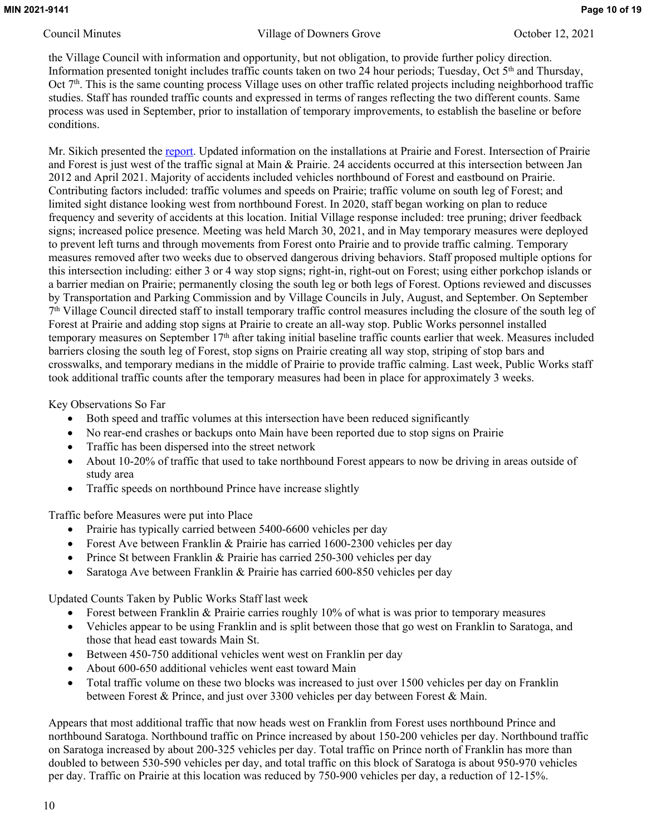the Village Council with information and opportunity, but not obligation, to provide further policy direction. Information presented tonight includes traffic counts taken on two 24 hour periods; Tuesday, Oct 5<sup>th</sup> and Thursday, Oct 7<sup>th</sup>. This is the same counting process Village uses on other traffic related projects including neighborhood traffic studies. Staff has rounded traffic counts and expressed in terms of ranges reflecting the two different counts. Same process was used in September, prior to installation of temporary improvements, to establish the baseline or before conditions.

Mr. Sikich presented the [report](http://www.downers.us/public/docs/agendas/2021/10-12-21/2021%2010%2012%20Prairie%20and%20Forest%20Update%20FINAL.pdf). Updated information on the installations at Prairie and Forest. Intersection of Prairie and Forest is just west of the traffic signal at Main & Prairie. 24 accidents occurred at this intersection between Jan 2012 and April 2021. Majority of accidents included vehicles northbound of Forest and eastbound on Prairie. Contributing factors included: traffic volumes and speeds on Prairie; traffic volume on south leg of Forest; and limited sight distance looking west from northbound Forest. In 2020, staff began working on plan to reduce frequency and severity of accidents at this location. Initial Village response included: tree pruning; driver feedback signs; increased police presence. Meeting was held March 30, 2021, and in May temporary measures were deployed to prevent left turns and through movements from Forest onto Prairie and to provide traffic calming. Temporary measures removed after two weeks due to observed dangerous driving behaviors. Staff proposed multiple options for this intersection including: either 3 or 4 way stop signs; right-in, right-out on Forest; using either porkchop islands or a barrier median on Prairie; permanently closing the south leg or both legs of Forest. Options reviewed and discusses by Transportation and Parking Commission and by Village Councils in July, August, and September. On September 7 th Village Council directed staff to install temporary traffic control measures including the closure of the south leg of Forest at Prairie and adding stop signs at Prairie to create an all-way stop. Public Works personnel installed temporary measures on September 17th after taking initial baseline traffic counts earlier that week. Measures included barriers closing the south leg of Forest, stop signs on Prairie creating all way stop, striping of stop bars and crosswalks, and temporary medians in the middle of Prairie to provide traffic calming. Last week, Public Works staff took additional traffic counts after the temporary measures had been in place for approximately 3 weeks.

Key Observations So Far

- Both speed and traffic volumes at this intersection have been reduced significantly
- No rear-end crashes or backups onto Main have been reported due to stop signs on Prairie
- Traffic has been dispersed into the street network
- About 10-20% of traffic that used to take northbound Forest appears to now be driving in areas outside of study area
- Traffic speeds on northbound Prince have increase slightly

Traffic before Measures were put into Place

- Prairie has typically carried between 5400-6600 vehicles per day
- Forest Ave between Franklin & Prairie has carried 1600-2300 vehicles per day
- Prince St between Franklin & Prairie has carried 250-300 vehicles per day
- Saratoga Ave between Franklin & Prairie has carried 600-850 vehicles per day

Updated Counts Taken by Public Works Staff last week

- Forest between Franklin & Prairie carries roughly 10% of what is was prior to temporary measures
- Vehicles appear to be using Franklin and is split between those that go west on Franklin to Saratoga, and those that head east towards Main St.
- Between 450-750 additional vehicles went west on Franklin per day
- About 600-650 additional vehicles went east toward Main
- Total traffic volume on these two blocks was increased to just over 1500 vehicles per day on Franklin between Forest & Prince, and just over 3300 vehicles per day between Forest & Main.

Appears that most additional traffic that now heads west on Franklin from Forest uses northbound Prince and northbound Saratoga. Northbound traffic on Prince increased by about 150-200 vehicles per day. Northbound traffic on Saratoga increased by about 200-325 vehicles per day. Total traffic on Prince north of Franklin has more than doubled to between 530-590 vehicles per day, and total traffic on this block of Saratoga is about 950-970 vehicles per day. Traffic on Prairie at this location was reduced by 750-900 vehicles per day, a reduction of 12-15%.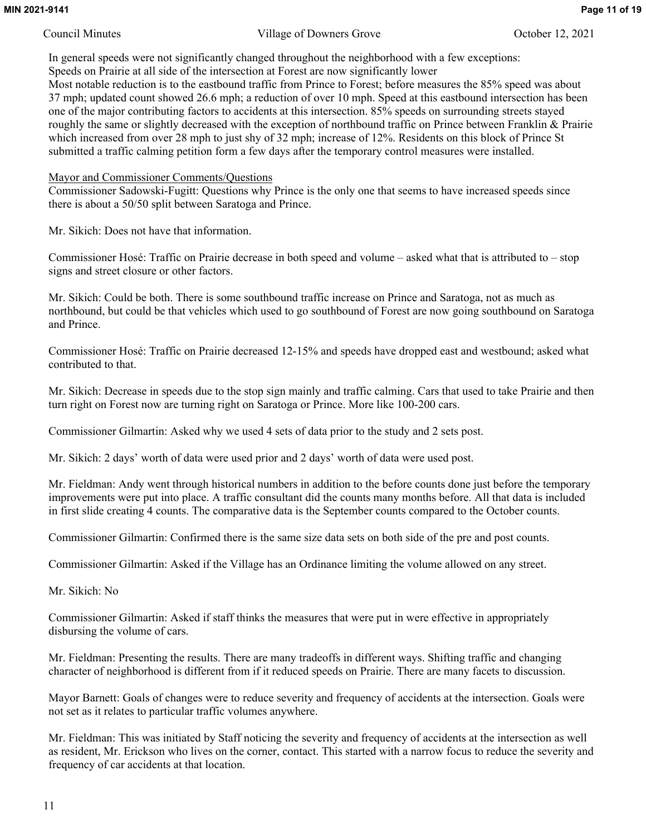In general speeds were not significantly changed throughout the neighborhood with a few exceptions: Speeds on Prairie at all side of the intersection at Forest are now significantly lower

Most notable reduction is to the eastbound traffic from Prince to Forest; before measures the 85% speed was about 37 mph; updated count showed 26.6 mph; a reduction of over 10 mph. Speed at this eastbound intersection has been one of the major contributing factors to accidents at this intersection. 85% speeds on surrounding streets stayed roughly the same or slightly decreased with the exception of northbound traffic on Prince between Franklin & Prairie which increased from over 28 mph to just shy of 32 mph; increase of 12%. Residents on this block of Prince St submitted a traffic calming petition form a few days after the temporary control measures were installed.

### Mayor and Commissioner Comments/Questions

Commissioner Sadowski-Fugitt: Questions why Prince is the only one that seems to have increased speeds since there is about a 50/50 split between Saratoga and Prince.

Mr. Sikich: Does not have that information.

Commissioner Hosé: Traffic on Prairie decrease in both speed and volume – asked what that is attributed to – stop signs and street closure or other factors.

Mr. Sikich: Could be both. There is some southbound traffic increase on Prince and Saratoga, not as much as northbound, but could be that vehicles which used to go southbound of Forest are now going southbound on Saratoga and Prince.

Commissioner Hosé: Traffic on Prairie decreased 12-15% and speeds have dropped east and westbound; asked what contributed to that.

Mr. Sikich: Decrease in speeds due to the stop sign mainly and traffic calming. Cars that used to take Prairie and then turn right on Forest now are turning right on Saratoga or Prince. More like 100-200 cars.

Commissioner Gilmartin: Asked why we used 4 sets of data prior to the study and 2 sets post.

Mr. Sikich: 2 days' worth of data were used prior and 2 days' worth of data were used post.

Mr. Fieldman: Andy went through historical numbers in addition to the before counts done just before the temporary improvements were put into place. A traffic consultant did the counts many months before. All that data is included in first slide creating 4 counts. The comparative data is the September counts compared to the October counts.

Commissioner Gilmartin: Confirmed there is the same size data sets on both side of the pre and post counts.

Commissioner Gilmartin: Asked if the Village has an Ordinance limiting the volume allowed on any street.

Mr. Sikich: No

Commissioner Gilmartin: Asked if staff thinks the measures that were put in were effective in appropriately disbursing the volume of cars.

Mr. Fieldman: Presenting the results. There are many tradeoffs in different ways. Shifting traffic and changing character of neighborhood is different from if it reduced speeds on Prairie. There are many facets to discussion.

Mayor Barnett: Goals of changes were to reduce severity and frequency of accidents at the intersection. Goals were not set as it relates to particular traffic volumes anywhere.

Mr. Fieldman: This was initiated by Staff noticing the severity and frequency of accidents at the intersection as well as resident, Mr. Erickson who lives on the corner, contact. This started with a narrow focus to reduce the severity and frequency of car accidents at that location.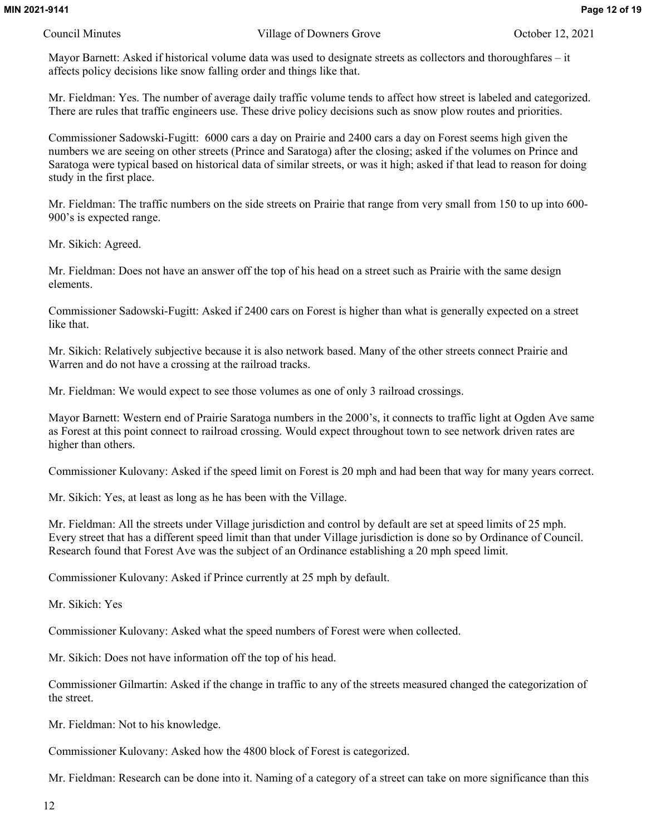Mayor Barnett: Asked if historical volume data was used to designate streets as collectors and thoroughfares – it affects policy decisions like snow falling order and things like that.

Mr. Fieldman: Yes. The number of average daily traffic volume tends to affect how street is labeled and categorized. There are rules that traffic engineers use. These drive policy decisions such as snow plow routes and priorities.

Commissioner Sadowski-Fugitt: 6000 cars a day on Prairie and 2400 cars a day on Forest seems high given the numbers we are seeing on other streets (Prince and Saratoga) after the closing; asked if the volumes on Prince and Saratoga were typical based on historical data of similar streets, or was it high; asked if that lead to reason for doing study in the first place.

Mr. Fieldman: The traffic numbers on the side streets on Prairie that range from very small from 150 to up into 600- 900's is expected range.

Mr. Sikich: Agreed.

Mr. Fieldman: Does not have an answer off the top of his head on a street such as Prairie with the same design elements.

Commissioner Sadowski-Fugitt: Asked if 2400 cars on Forest is higher than what is generally expected on a street like that.

Mr. Sikich: Relatively subjective because it is also network based. Many of the other streets connect Prairie and Warren and do not have a crossing at the railroad tracks.

Mr. Fieldman: We would expect to see those volumes as one of only 3 railroad crossings.

Mayor Barnett: Western end of Prairie Saratoga numbers in the 2000's, it connects to traffic light at Ogden Ave same as Forest at this point connect to railroad crossing. Would expect throughout town to see network driven rates are higher than others.

Commissioner Kulovany: Asked if the speed limit on Forest is 20 mph and had been that way for many years correct.

Mr. Sikich: Yes, at least as long as he has been with the Village.

Mr. Fieldman: All the streets under Village jurisdiction and control by default are set at speed limits of 25 mph. Every street that has a different speed limit than that under Village jurisdiction is done so by Ordinance of Council. Research found that Forest Ave was the subject of an Ordinance establishing a 20 mph speed limit.

Commissioner Kulovany: Asked if Prince currently at 25 mph by default.

Mr. Sikich: Yes

Commissioner Kulovany: Asked what the speed numbers of Forest were when collected.

Mr. Sikich: Does not have information off the top of his head.

Commissioner Gilmartin: Asked if the change in traffic to any of the streets measured changed the categorization of the street.

Mr. Fieldman: Not to his knowledge.

Commissioner Kulovany: Asked how the 4800 block of Forest is categorized.

Mr. Fieldman: Research can be done into it. Naming of a category of a street can take on more significance than this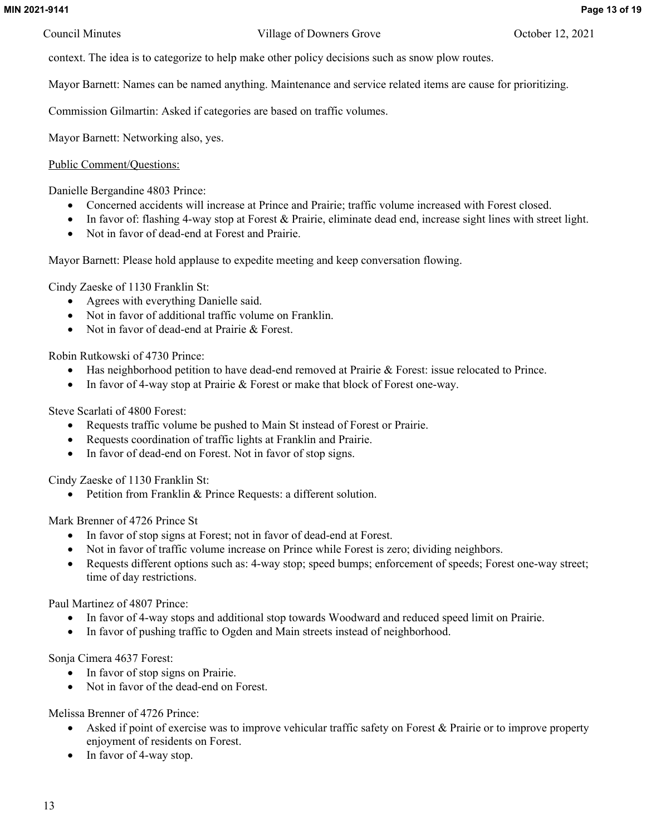context. The idea is to categorize to help make other policy decisions such as snow plow routes.

Mayor Barnett: Names can be named anything. Maintenance and service related items are cause for prioritizing.

Commission Gilmartin: Asked if categories are based on traffic volumes.

Mayor Barnett: Networking also, yes.

## Public Comment/Questions:

Danielle Bergandine 4803 Prince:

- Concerned accidents will increase at Prince and Prairie; traffic volume increased with Forest closed.
- In favor of: flashing 4-way stop at Forest & Prairie, eliminate dead end, increase sight lines with street light.
- Not in favor of dead-end at Forest and Prairie.

Mayor Barnett: Please hold applause to expedite meeting and keep conversation flowing.

Cindy Zaeske of 1130 Franklin St:

- Agrees with everything Danielle said.
- Not in favor of additional traffic volume on Franklin.
- Not in favor of dead-end at Prairie & Forest.

Robin Rutkowski of 4730 Prince:

- Has neighborhood petition to have dead-end removed at Prairie & Forest: issue relocated to Prince.
- In favor of 4-way stop at Prairie & Forest or make that block of Forest one-way.

Steve Scarlati of 4800 Forest:

- Requests traffic volume be pushed to Main St instead of Forest or Prairie.
- Requests coordination of traffic lights at Franklin and Prairie.
- In favor of dead-end on Forest. Not in favor of stop signs.

Cindy Zaeske of 1130 Franklin St:

Petition from Franklin & Prince Requests: a different solution.

Mark Brenner of 4726 Prince St

- In favor of stop signs at Forest; not in favor of dead-end at Forest.
- Not in favor of traffic volume increase on Prince while Forest is zero; dividing neighbors.
- Requests different options such as: 4-way stop; speed bumps; enforcement of speeds; Forest one-way street; time of day restrictions.

Paul Martinez of 4807 Prince:

- In favor of 4-way stops and additional stop towards Woodward and reduced speed limit on Prairie.
- In favor of pushing traffic to Ogden and Main streets instead of neighborhood.

Sonja Cimera 4637 Forest:

- In favor of stop signs on Prairie.
- Not in favor of the dead-end on Forest.

Melissa Brenner of 4726 Prince:

- Asked if point of exercise was to improve vehicular traffic safety on Forest & Prairie or to improve property enjoyment of residents on Forest.
- In favor of 4-way stop.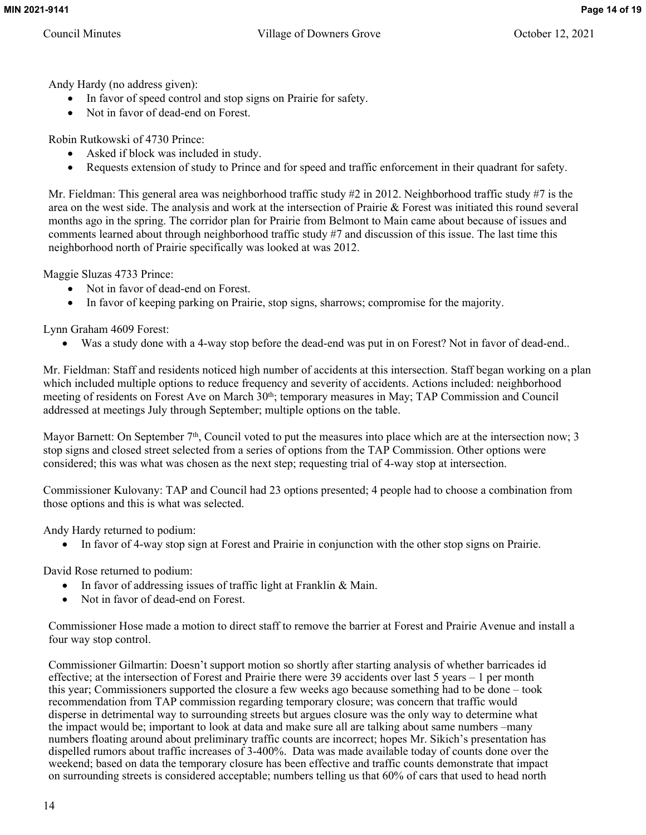Andy Hardy (no address given):

- In favor of speed control and stop signs on Prairie for safety.
- Not in favor of dead-end on Forest.

Robin Rutkowski of 4730 Prince:

- Asked if block was included in study.
- Requests extension of study to Prince and for speed and traffic enforcement in their quadrant for safety.

Mr. Fieldman: This general area was neighborhood traffic study #2 in 2012. Neighborhood traffic study #7 is the area on the west side. The analysis and work at the intersection of Prairie & Forest was initiated this round several months ago in the spring. The corridor plan for Prairie from Belmont to Main came about because of issues and comments learned about through neighborhood traffic study #7 and discussion of this issue. The last time this neighborhood north of Prairie specifically was looked at was 2012.

Maggie Sluzas 4733 Prince:

- Not in favor of dead-end on Forest.
- In favor of keeping parking on Prairie, stop signs, sharrows; compromise for the majority.

Lynn Graham 4609 Forest:

Was a study done with a 4-way stop before the dead-end was put in on Forest? Not in favor of dead-end..

Mr. Fieldman: Staff and residents noticed high number of accidents at this intersection. Staff began working on a plan which included multiple options to reduce frequency and severity of accidents. Actions included: neighborhood meeting of residents on Forest Ave on March 30<sup>th</sup>; temporary measures in May; TAP Commission and Council addressed at meetings July through September; multiple options on the table.

Mayor Barnett: On September  $7<sup>th</sup>$ , Council voted to put the measures into place which are at the intersection now; 3 stop signs and closed street selected from a series of options from the TAP Commission. Other options were considered; this was what was chosen as the next step; requesting trial of 4-way stop at intersection.

Commissioner Kulovany: TAP and Council had 23 options presented; 4 people had to choose a combination from those options and this is what was selected.

Andy Hardy returned to podium:

In favor of 4-way stop sign at Forest and Prairie in conjunction with the other stop signs on Prairie.

David Rose returned to podium:

- In favor of addressing issues of traffic light at Franklin & Main.
- Not in favor of dead-end on Forest.

Commissioner Hose made a motion to direct staff to remove the barrier at Forest and Prairie Avenue and install a four way stop control.

Commissioner Gilmartin: Doesn't support motion so shortly after starting analysis of whether barricades id effective; at the intersection of Forest and Prairie there were 39 accidents over last 5 years – 1 per month this year; Commissioners supported the closure a few weeks ago because something had to be done – took recommendation from TAP commission regarding temporary closure; was concern that traffic would disperse in detrimental way to surrounding streets but argues closure was the only way to determine what the impact would be; important to look at data and make sure all are talking about same numbers –many numbers floating around about preliminary traffic counts are incorrect; hopes Mr. Sikich's presentation has dispelled rumors about traffic increases of 3-400%. Data was made available today of counts done over the weekend; based on data the temporary closure has been effective and traffic counts demonstrate that impact on surrounding streets is considered acceptable; numbers telling us that 60% of cars that used to head north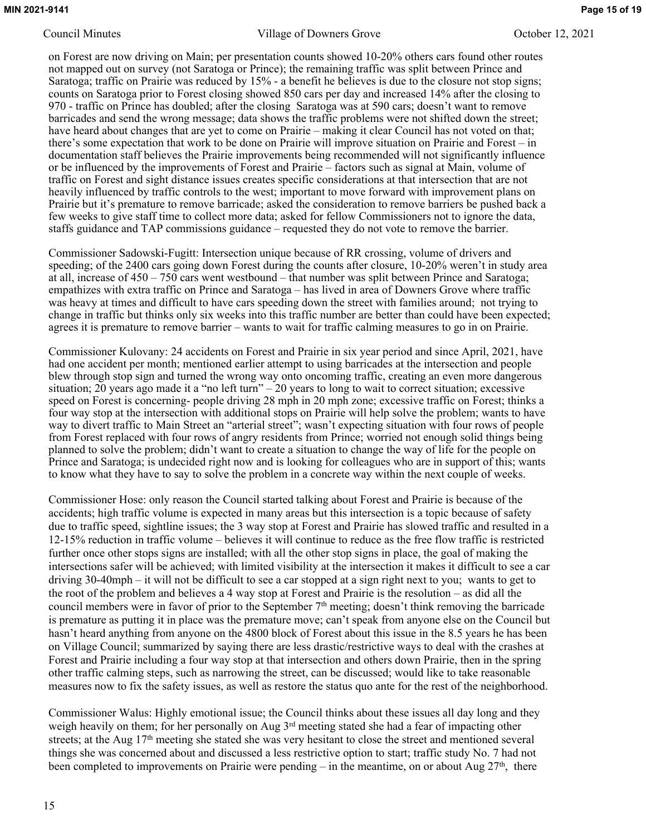on Forest are now driving on Main; per presentation counts showed 10-20% others cars found other routes not mapped out on survey (not Saratoga or Prince); the remaining traffic was split between Prince and Saratoga; traffic on Prairie was reduced by 15% - a benefit he believes is due to the closure not stop signs; counts on Saratoga prior to Forest closing showed 850 cars per day and increased 14% after the closing to 970 - traffic on Prince has doubled; after the closing Saratoga was at 590 cars; doesn't want to remove barricades and send the wrong message; data shows the traffic problems were not shifted down the street; have heard about changes that are yet to come on Prairie – making it clear Council has not voted on that; there's some expectation that work to be done on Prairie will improve situation on Prairie and Forest – in documentation staff believes the Prairie improvements being recommended will not significantly influence or be influenced by the improvements of Forest and Prairie – factors such as signal at Main, volume of traffic on Forest and sight distance issues creates specific considerations at that intersection that are not heavily influenced by traffic controls to the west; important to move forward with improvement plans on Prairie but it's premature to remove barricade; asked the consideration to remove barriers be pushed back a few weeks to give staff time to collect more data; asked for fellow Commissioners not to ignore the data, staffs guidance and TAP commissions guidance – requested they do not vote to remove the barrier.

Commissioner Sadowski-Fugitt: Intersection unique because of RR crossing, volume of drivers and speeding; of the 2400 cars going down Forest during the counts after closure, 10-20% weren't in study area at all, increase of 450 – 750 cars went westbound – that number was split between Prince and Saratoga; empathizes with extra traffic on Prince and Saratoga – has lived in area of Downers Grove where traffic was heavy at times and difficult to have cars speeding down the street with families around; not trying to change in traffic but thinks only six weeks into this traffic number are better than could have been expected; agrees it is premature to remove barrier – wants to wait for traffic calming measures to go in on Prairie.

Commissioner Kulovany: 24 accidents on Forest and Prairie in six year period and since April, 2021, have had one accident per month; mentioned earlier attempt to using barricades at the intersection and people blew through stop sign and turned the wrong way onto oncoming traffic, creating an even more dangerous situation; 20 years ago made it a "no left turn" – 20 years to long to wait to correct situation; excessive speed on Forest is concerning- people driving 28 mph in 20 mph zone; excessive traffic on Forest; thinks a four way stop at the intersection with additional stops on Prairie will help solve the problem; wants to have way to divert traffic to Main Street an "arterial street"; wasn't expecting situation with four rows of people from Forest replaced with four rows of angry residents from Prince; worried not enough solid things being planned to solve the problem; didn't want to create a situation to change the way of life for the people on Prince and Saratoga; is undecided right now and is looking for colleagues who are in support of this; wants to know what they have to say to solve the problem in a concrete way within the next couple of weeks.

Commissioner Hose: only reason the Council started talking about Forest and Prairie is because of the accidents; high traffic volume is expected in many areas but this intersection is a topic because of safety due to traffic speed, sightline issues; the 3 way stop at Forest and Prairie has slowed traffic and resulted in a 12-15% reduction in traffic volume – believes it will continue to reduce as the free flow traffic is restricted further once other stops signs are installed; with all the other stop signs in place, the goal of making the intersections safer will be achieved; with limited visibility at the intersection it makes it difficult to see a car driving 30-40mph – it will not be difficult to see a car stopped at a sign right next to you; wants to get to the root of the problem and believes a 4 way stop at Forest and Prairie is the resolution – as did all the council members were in favor of prior to the September 7th meeting; doesn't think removing the barricade is premature as putting it in place was the premature move; can't speak from anyone else on the Council but hasn't heard anything from anyone on the 4800 block of Forest about this issue in the 8.5 years he has been on Village Council; summarized by saying there are less drastic/restrictive ways to deal with the crashes at Forest and Prairie including a four way stop at that intersection and others down Prairie, then in the spring other traffic calming steps, such as narrowing the street, can be discussed; would like to take reasonable measures now to fix the safety issues, as well as restore the status quo ante for the rest of the neighborhood.

Commissioner Walus: Highly emotional issue; the Council thinks about these issues all day long and they weigh heavily on them; for her personally on Aug 3rd meeting stated she had a fear of impacting other streets; at the Aug 17<sup>th</sup> meeting she stated she was very hesitant to close the street and mentioned several things she was concerned about and discussed a less restrictive option to start; traffic study No. 7 had not been completed to improvements on Prairie were pending – in the meantime, on or about Aug  $27<sup>th</sup>$ , there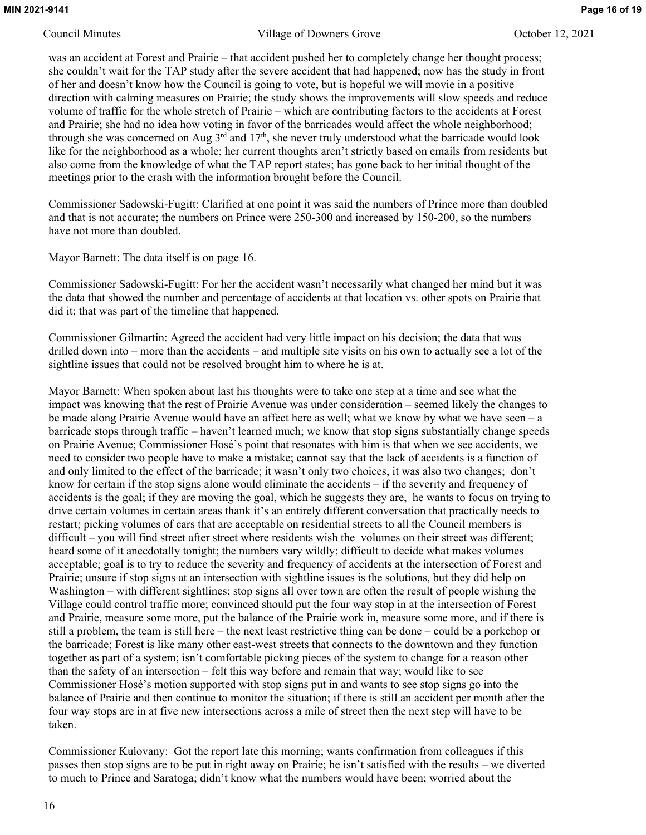was an accident at Forest and Prairie – that accident pushed her to completely change her thought process; she couldn't wait for the TAP study after the severe accident that had happened; now has the study in front of her and doesn't know how the Council is going to vote, but is hopeful we will movie in a positive direction with calming measures on Prairie; the study shows the improvements will slow speeds and reduce volume of traffic for the whole stretch of Prairie – which are contributing factors to the accidents at Forest and Prairie; she had no idea how voting in favor of the barricades would affect the whole neighborhood; through she was concerned on Aug  $3<sup>rd</sup>$  and  $17<sup>th</sup>$ , she never truly understood what the barricade would look like for the neighborhood as a whole; her current thoughts aren't strictly based on emails from residents but also come from the knowledge of what the TAP report states; has gone back to her initial thought of the meetings prior to the crash with the information brought before the Council.

Commissioner Sadowski-Fugitt: Clarified at one point it was said the numbers of Prince more than doubled and that is not accurate; the numbers on Prince were 250-300 and increased by 150-200, so the numbers have not more than doubled.

Mayor Barnett: The data itself is on page 16.

Commissioner Sadowski-Fugitt: For her the accident wasn't necessarily what changed her mind but it was the data that showed the number and percentage of accidents at that location vs. other spots on Prairie that did it; that was part of the timeline that happened.

Commissioner Gilmartin: Agreed the accident had very little impact on his decision; the data that was drilled down into – more than the accidents – and multiple site visits on his own to actually see a lot of the sightline issues that could not be resolved brought him to where he is at.

Mayor Barnett: When spoken about last his thoughts were to take one step at a time and see what the impact was knowing that the rest of Prairie Avenue was under consideration – seemed likely the changes to be made along Prairie Avenue would have an affect here as well; what we know by what we have seen – a barricade stops through traffic – haven't learned much; we know that stop signs substantially change speeds on Prairie Avenue; Commissioner Hosé's point that resonates with him is that when we see accidents, we need to consider two people have to make a mistake; cannot say that the lack of accidents is a function of and only limited to the effect of the barricade; it wasn't only two choices, it was also two changes; don't know for certain if the stop signs alone would eliminate the accidents – if the severity and frequency of accidents is the goal; if they are moving the goal, which he suggests they are, he wants to focus on trying to drive certain volumes in certain areas thank it's an entirely different conversation that practically needs to restart; picking volumes of cars that are acceptable on residential streets to all the Council members is difficult – you will find street after street where residents wish the volumes on their street was different; heard some of it anecdotally tonight; the numbers vary wildly; difficult to decide what makes volumes acceptable; goal is to try to reduce the severity and frequency of accidents at the intersection of Forest and Prairie; unsure if stop signs at an intersection with sightline issues is the solutions, but they did help on Washington – with different sightlines; stop signs all over town are often the result of people wishing the Village could control traffic more; convinced should put the four way stop in at the intersection of Forest and Prairie, measure some more, put the balance of the Prairie work in, measure some more, and if there is still a problem, the team is still here – the next least restrictive thing can be done – could be a porkchop or the barricade; Forest is like many other east-west streets that connects to the downtown and they function together as part of a system; isn't comfortable picking pieces of the system to change for a reason other than the safety of an intersection – felt this way before and remain that way; would like to see Commissioner Hosé's motion supported with stop signs put in and wants to see stop signs go into the balance of Prairie and then continue to monitor the situation; if there is still an accident per month after the four way stops are in at five new intersections across a mile of street then the next step will have to be taken.

Commissioner Kulovany: Got the report late this morning; wants confirmation from colleagues if this passes then stop signs are to be put in right away on Prairie; he isn't satisfied with the results – we diverted to much to Prince and Saratoga; didn't know what the numbers would have been; worried about the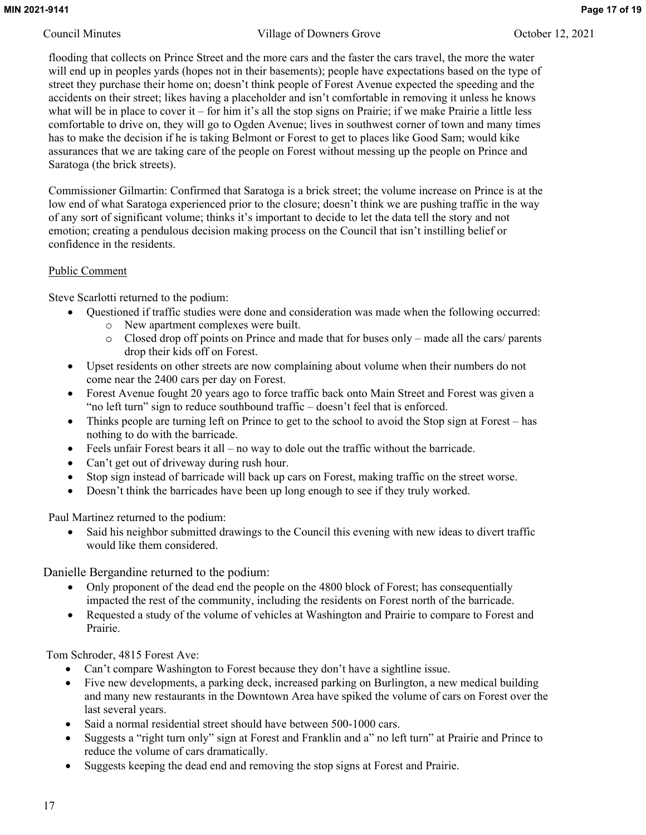flooding that collects on Prince Street and the more cars and the faster the cars travel, the more the water will end up in peoples yards (hopes not in their basements); people have expectations based on the type of street they purchase their home on; doesn't think people of Forest Avenue expected the speeding and the accidents on their street; likes having a placeholder and isn't comfortable in removing it unless he knows what will be in place to cover it – for him it's all the stop signs on Prairie; if we make Prairie a little less comfortable to drive on, they will go to Ogden Avenue; lives in southwest corner of town and many times has to make the decision if he is taking Belmont or Forest to get to places like Good Sam; would kike assurances that we are taking care of the people on Forest without messing up the people on Prince and Saratoga (the brick streets).

Commissioner Gilmartin: Confirmed that Saratoga is a brick street; the volume increase on Prince is at the low end of what Saratoga experienced prior to the closure; doesn't think we are pushing traffic in the way of any sort of significant volume; thinks it's important to decide to let the data tell the story and not emotion; creating a pendulous decision making process on the Council that isn't instilling belief or confidence in the residents.

## Public Comment

Steve Scarlotti returned to the podium:

- Questioned if traffic studies were done and consideration was made when the following occurred: o New apartment complexes were built.
	- o Closed drop off points on Prince and made that for buses only made all the cars/ parents drop their kids off on Forest.
- Upset residents on other streets are now complaining about volume when their numbers do not come near the 2400 cars per day on Forest.
- Forest Avenue fought 20 years ago to force traffic back onto Main Street and Forest was given a "no left turn" sign to reduce southbound traffic – doesn't feel that is enforced.
- Thinks people are turning left on Prince to get to the school to avoid the Stop sign at Forest has nothing to do with the barricade.
- $\bullet$  Feels unfair Forest bears it all no way to dole out the traffic without the barricade.
- Can't get out of driveway during rush hour.
- Stop sign instead of barricade will back up cars on Forest, making traffic on the street worse.
- Doesn't think the barricades have been up long enough to see if they truly worked.

Paul Martinez returned to the podium:

 Said his neighbor submitted drawings to the Council this evening with new ideas to divert traffic would like them considered.

Danielle Bergandine returned to the podium:

- Only proponent of the dead end the people on the 4800 block of Forest; has consequentially impacted the rest of the community, including the residents on Forest north of the barricade.
- Requested a study of the volume of vehicles at Washington and Prairie to compare to Forest and Prairie.

Tom Schroder, 4815 Forest Ave:

- Can't compare Washington to Forest because they don't have a sightline issue.
- Five new developments, a parking deck, increased parking on Burlington, a new medical building and many new restaurants in the Downtown Area have spiked the volume of cars on Forest over the last several years.
- Said a normal residential street should have between 500-1000 cars.
- Suggests a "right turn only" sign at Forest and Franklin and a" no left turn" at Prairie and Prince to reduce the volume of cars dramatically.
- Suggests keeping the dead end and removing the stop signs at Forest and Prairie.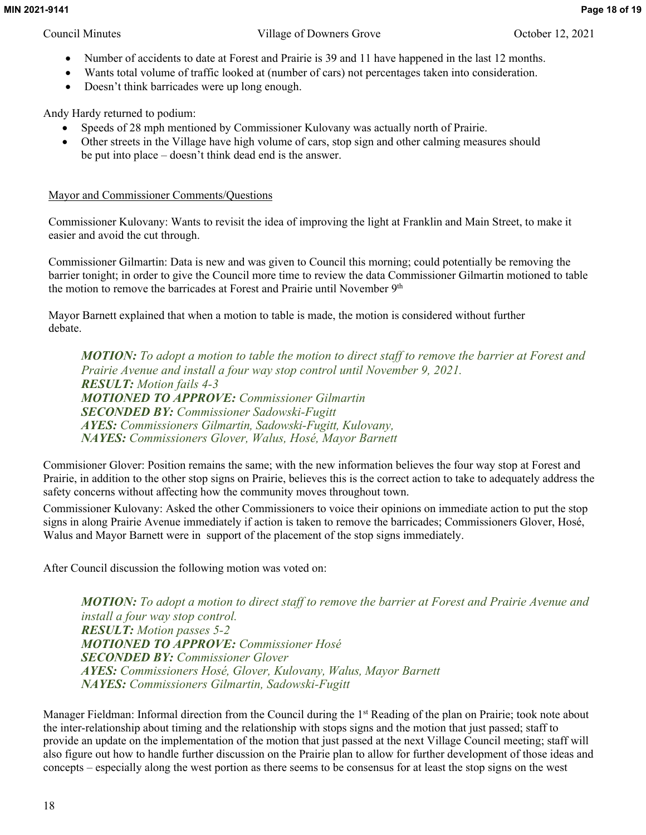- 
- Number of accidents to date at Forest and Prairie is 39 and 11 have happened in the last 12 months.
- Wants total volume of traffic looked at (number of cars) not percentages taken into consideration.
- Doesn't think barricades were up long enough.

Andy Hardy returned to podium:

- Speeds of 28 mph mentioned by Commissioner Kulovany was actually north of Prairie.
- Other streets in the Village have high volume of cars, stop sign and other calming measures should be put into place – doesn't think dead end is the answer.

## Mayor and Commissioner Comments/Questions

Commissioner Kulovany: Wants to revisit the idea of improving the light at Franklin and Main Street, to make it easier and avoid the cut through.

Commissioner Gilmartin: Data is new and was given to Council this morning; could potentially be removing the barrier tonight; in order to give the Council more time to review the data Commissioner Gilmartin motioned to table the motion to remove the barricades at Forest and Prairie until November 9<sup>th</sup>

Mayor Barnett explained that when a motion to table is made, the motion is considered without further debate.

*MOTION: To adopt a motion to table the motion to direct staff to remove the barrier at Forest and Prairie Avenue and install a four way stop control until November 9, 2021. RESULT: Motion fails 4-3 MOTIONED TO APPROVE: Commissioner Gilmartin SECONDED BY: Commissioner Sadowski-Fugitt AYES: Commissioners Gilmartin, Sadowski-Fugitt, Kulovany, NAYES: Commissioners Glover, Walus, Hosé, Mayor Barnett*

Commisioner Glover: Position remains the same; with the new information believes the four way stop at Forest and Prairie, in addition to the other stop signs on Prairie, believes this is the correct action to take to adequately address the safety concerns without affecting how the community moves throughout town.

Commissioner Kulovany: Asked the other Commissioners to voice their opinions on immediate action to put the stop signs in along Prairie Avenue immediately if action is taken to remove the barricades; Commissioners Glover, Hosé, Walus and Mayor Barnett were in support of the placement of the stop signs immediately.

After Council discussion the following motion was voted on:

*MOTION: To adopt a motion to direct staff to remove the barrier at Forest and Prairie Avenue and install a four way stop control. RESULT: Motion passes 5-2 MOTIONED TO APPROVE: Commissioner Hosé SECONDED BY: Commissioner Glover AYES: Commissioners Hosé, Glover, Kulovany, Walus, Mayor Barnett NAYES: Commissioners Gilmartin, Sadowski-Fugitt*

Manager Fieldman: Informal direction from the Council during the 1st Reading of the plan on Prairie; took note about the inter-relationship about timing and the relationship with stops signs and the motion that just passed; staff to provide an update on the implementation of the motion that just passed at the next Village Council meeting; staff will also figure out how to handle further discussion on the Prairie plan to allow for further development of those ideas and concepts – especially along the west portion as there seems to be consensus for at least the stop signs on the west